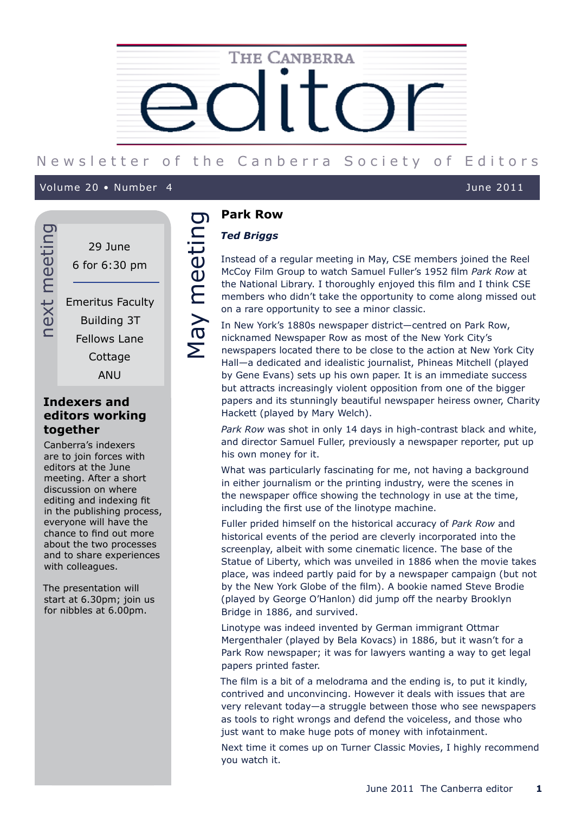

# New sletter of the Canberra Society of Editors

Volume 19 • Number 9 June 2011 Volume 20 • Number 4 June 2011

29 June 6 for 6:30 pm Emeritus Faculty Building 3T

next meeting

next meeting

Fellows Lane **Cottage** 

ANU

# **Indexers and editors working together**

Canberra's indexers are to join forces with editors at the June meeting. After a short discussion on where editing and indexing fit in the publishing process, everyone will have the chance to find out more about the two processes and to share experiences with colleagues.

The presentation will start at 6.30pm; join us for nibbles at 6.00pm.

# **Park Row**

# *Ted Briggs*

Mark Row<br>
Ted Briggs<br>
Instead of a regular meeting in May, CSE members joined the Reel<br>
McCoy Film Group to watch Samuel Fuller's 1952 film *Park Row* at<br>
the National Library. I thoroughly enjoyed this film and I think CS McCoy Film Group to watch Samuel Fuller's 1952 film *Park Row* at the National Library. I thoroughly enjoyed this film and I think CSE members who didn't take the opportunity to come along missed out on a rare opportunity to see a minor classic.

In New York's 1880s newspaper district—centred on Park Row, nicknamed Newspaper Row as most of the New York City's newspapers located there to be close to the action at New York City Hall—a dedicated and idealistic journalist, Phineas Mitchell (played by Gene Evans) sets up his own paper. It is an immediate success but attracts increasingly violent opposition from one of the bigger papers and its stunningly beautiful newspaper heiress owner, Charity Hackett (played by Mary Welch).

*Park Row* was shot in only 14 days in high-contrast black and white, and director Samuel Fuller, previously a newspaper reporter, put up his own money for it.

What was particularly fascinating for me, not having a background in either journalism or the printing industry, were the scenes in the newspaper office showing the technology in use at the time, including the first use of the linotype machine.

Fuller prided himself on the historical accuracy of *Park Row* and historical events of the period are cleverly incorporated into the screenplay, albeit with some cinematic licence. The base of the Statue of Liberty, which was unveiled in 1886 when the movie takes place, was indeed partly paid for by a newspaper campaign (but not by the New York Globe of the film). A bookie named Steve Brodie (played by George O'Hanlon) did jump off the nearby Brooklyn Bridge in 1886, and survived.

Linotype was indeed invented by German immigrant Ottmar Mergenthaler (played by Bela Kovacs) in 1886, but it wasn't for a Park Row newspaper; it was for lawyers wanting a way to get legal papers printed faster.

The film is a bit of a melodrama and the ending is, to put it kindly, contrived and unconvincing. However it deals with issues that are very relevant today—a struggle between those who see newspapers as tools to right wrongs and defend the voiceless, and those who just want to make huge pots of money with infotainment.

Next time it comes up on Turner Classic Movies, I highly recommend you watch it.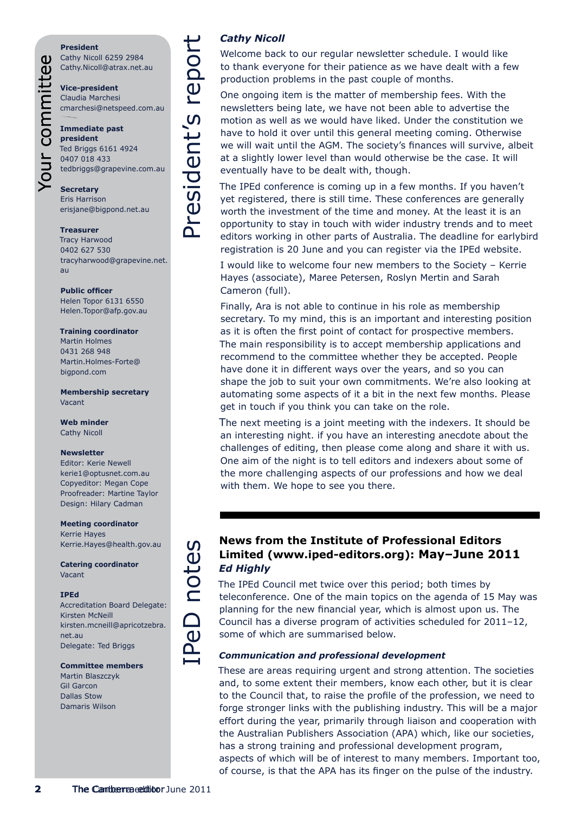### **President**

Your committee

Cathy Nicoll 6259 2984 Cathy.Nicoll@atrax.net.au

**Vice-president** Claudia Marchesi cmarchesi@netspeed.com.au

# **Immediate past president** Ted Briggs 6161 4924 0407 018 433 tedbriggs@grapevine.com.au

**Secretary** Eris Harrison erisjane@bigpond.net.au

**Treasurer** Tracy Harwood 0402 627 530

tracyharwood@grapevine.net. au

**Public officer** Helen Topor 6131 6550 Helen.Topor@afp.gov.au

### **Training coordinator**

Martin Holmes 0431 268 948 Martin.Holmes-Forte@ bigpond.com

**Membership secretary** Vacant

**Web minder** Cathy Nicoll

### **Newsletter**

Editor: Kerie Newell kerie1@optusnet.com.au Copyeditor: Megan Cope Proofreader: Martine Taylor Design: Hilary Cadman

### **Meeting coordinator** Kerrie Hayes Kerrie.Hayes@health.gov.au

**Catering coordinator** Vacant

### **IPEd**

Accreditation Board Delegate: Kirsten McNeill kirsten.mcneill@apricotzebra. net.au Delegate: Ted Briggs

### **Committee members**

Martin Blaszczyk Gil Garcon Dallas Stow Damaris Wilson

# *Cathy Nicoll*

Welcome back to our regular newsletter schedule. I would like to thank everyone for their patience as we have dealt with a few production problems in the past couple of months.

One ongoing item is the matter of membership fees. With the newsletters being late, we have not been able to advertise the motion as well as we would have liked. Under the constitution we have to hold it over until this general meeting coming. Otherwise we will wait until the AGM. The society's finances will survive, albeit at a slightly lower level than would otherwise be the case. It will eventually have to be dealt with, though.

The IPEd conference is coming up in a few months. If you haven't yet registered, there is still time. These conferences are generally worth the investment of the time and money. At the least it is an opportunity to stay in touch with wider industry trends and to meet editors working in other parts of Australia. The deadline for earlybird registration is 20 June and you can register via the IPEd website.

I would like to welcome four new members to the Society – Kerrie Hayes (associate), Maree Petersen, Roslyn Mertin and Sarah Cameron (full).

**2** Canberra editor and the context strength of the Canberra editor and the Canberra editor and the Canberra editor and the Canberra editor and the Canberra editor and the Canberra editor and the Canberra editor and the Ca Finally, Ara is not able to continue in his role as membership secretary. To my mind, this is an important and interesting position as it is often the first point of contact for prospective members. The main responsibility is to accept membership applications and recommend to the committee whether they be accepted. People have done it in different ways over the years, and so you can shape the job to suit your own commitments. We're also looking at automating some aspects of it a bit in the next few months. Please get in touch if you think you can take on the role.

The next meeting is a joint meeting with the indexers. It should be an interesting night. if you have an interesting anecdote about the challenges of editing, then please come along and share it with us. One aim of the night is to tell editors and indexers about some of the more challenging aspects of our professions and how we deal with them. We hope to see you there.

# **Limited (www.iped-editors.org): May–June 2011** *Ed Highly*

The IPEd Council met twice over this period; both times by teleconference. One of the main topics on the agenda of 15 May was planning for the new financial year, which is almost upon us. The Council has a diverse program of activities scheduled for 2011–12, some of which are summarised below.

# *Communication and professional development*

These are areas requiring urgent and strong attention. The societies and, to some extent their members, know each other, but it is clear to the Council that, to raise the profile of the profession, we need to forge stronger links with the publishing industry. This will be a major effort during the year, primarily through liaison and cooperation with the Australian Publishers Association (APA) which, like our societies, has a strong training and professional development program, aspects of which will be of interest to many members. Important too, of course, is that the APA has its finger on the pulse of the industry.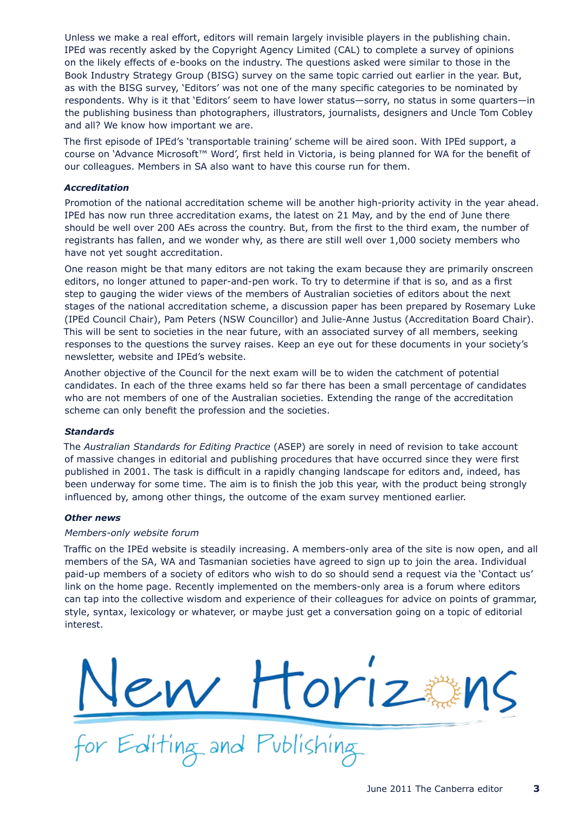Unless we make a real effort, editors will remain largely invisible players in the publishing chain. IPEd was recently asked by the Copyright Agency Limited (CAL) to complete a survey of opinions on the likely effects of e-books on the industry. The questions asked were similar to those in the Book Industry Strategy Group (BISG) survey on the same topic carried out earlier in the year. But, as with the BISG survey, 'Editors' was not one of the many specific categories to be nominated by respondents. Why is it that 'Editors' seem to have lower status—sorry, no status in some quarters—in the publishing business than photographers, illustrators, journalists, designers and Uncle Tom Cobley and all? We know how important we are.

The first episode of IPEd's 'transportable training' scheme will be aired soon. With IPEd support, a course on 'Advance Microsoft™ Word', first held in Victoria, is being planned for WA for the benefit of our colleagues. Members in SA also want to have this course run for them.

# *Accreditation*

Promotion of the national accreditation scheme will be another high-priority activity in the year ahead. IPEd has now run three accreditation exams, the latest on 21 May, and by the end of June there should be well over 200 AEs across the country. But, from the first to the third exam, the number of registrants has fallen, and we wonder why, as there are still well over 1,000 society members who have not yet sought accreditation.

One reason might be that many editors are not taking the exam because they are primarily onscreen editors, no longer attuned to paper-and-pen work. To try to determine if that is so, and as a first step to gauging the wider views of the members of Australian societies of editors about the next stages of the national accreditation scheme, a discussion paper has been prepared by Rosemary Luke (IPEd Council Chair), Pam Peters (NSW Councillor) and Julie-Anne Justus (Accreditation Board Chair). This will be sent to societies in the near future, with an associated survey of all members, seeking responses to the questions the survey raises. Keep an eye out for these documents in your society's newsletter, website and IPEd's website.

Another objective of the Council for the next exam will be to widen the catchment of potential candidates. In each of the three exams held so far there has been a small percentage of candidates who are not members of one of the Australian societies. Extending the range of the accreditation scheme can only benefit the profession and the societies.

## *Standards*

The *Australian Standards for Editing Practice* (ASEP) are sorely in need of revision to take account of massive changes in editorial and publishing procedures that have occurred since they were first published in 2001. The task is difficult in a rapidly changing landscape for editors and, indeed, has been underway for some time. The aim is to finish the job this year, with the product being strongly influenced by, among other things, the outcome of the exam survey mentioned earlier.

## *Other news*

## *Members-only website forum*

Traffic on the IPEd website is steadily increasing. A members-only area of the site is now open, and all members of the SA, WA and Tasmanian societies have agreed to sign up to join the area. Individual paid-up members of a society of editors who wish to do so should send a request via the 'Contact us' link on the home page. Recently implemented on the members-only area is a forum where editors can tap into the collective wisdom and experience of their colleagues for advice on points of grammar, style, syntax, lexicology or whatever, or maybe just get a conversation going on a topic of editorial interest.

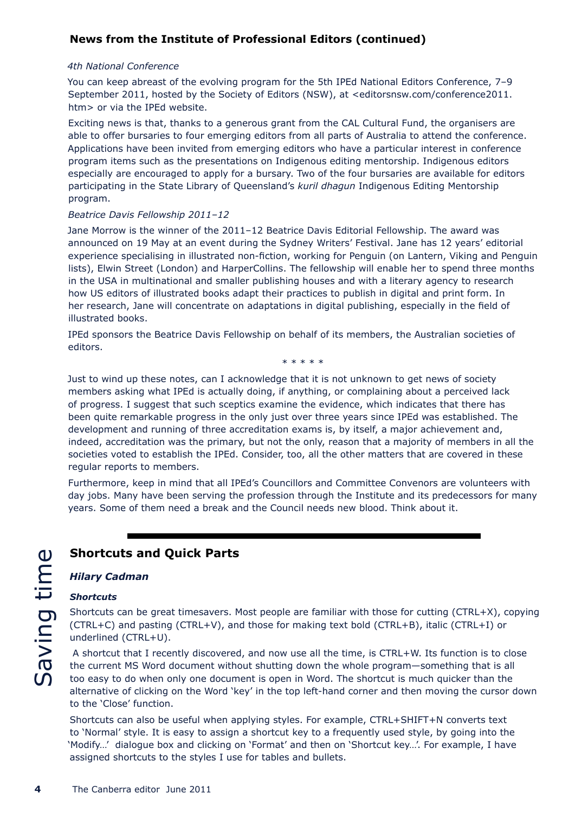# **News from the Institute of Professional Editors (continued)**

# *4th National Conference*

You can keep abreast of the evolving program for the 5th IPEd National Editors Conference, 7–9 September 2011, hosted by the Society of Editors (NSW), at <editorsnsw.com/conference2011. htm> or via the IPEd website.

Exciting news is that, thanks to a generous grant from the CAL Cultural Fund, the organisers are able to offer bursaries to four emerging editors from all parts of Australia to attend the conference. Applications have been invited from emerging editors who have a particular interest in conference program items such as the presentations on Indigenous editing mentorship. Indigenous editors especially are encouraged to apply for a bursary. Two of the four bursaries are available for editors participating in the State Library of Queensland's *kuril dhagun* Indigenous Editing Mentorship program.

# *Beatrice Davis Fellowship 2011–12*

Jane Morrow is the winner of the 2011–12 Beatrice Davis Editorial Fellowship. The award was announced on 19 May at an event during the Sydney Writers' Festival. Jane has 12 years' editorial experience specialising in illustrated non-fiction, working for Penguin (on Lantern, Viking and Penguin lists), Elwin Street (London) and HarperCollins. The fellowship will enable her to spend three months in the USA in multinational and smaller publishing houses and with a literary agency to research how US editors of illustrated books adapt their practices to publish in digital and print form. In her research, Jane will concentrate on adaptations in digital publishing, especially in the field of illustrated books.

IPEd sponsors the Beatrice Davis Fellowship on behalf of its members, the Australian societies of editors.

\* \* \* \* \*

Just to wind up these notes, can I acknowledge that it is not unknown to get news of society members asking what IPEd is actually doing, if anything, or complaining about a perceived lack of progress. I suggest that such sceptics examine the evidence, which indicates that there has been quite remarkable progress in the only just over three years since IPEd was established. The development and running of three accreditation exams is, by itself, a major achievement and, indeed, accreditation was the primary, but not the only, reason that a majority of members in all the societies voted to establish the IPEd. Consider, too, all the other matters that are covered in these regular reports to members.

Furthermore, keep in mind that all IPEd's Councillors and Committee Convenors are volunteers with day jobs. Many have been serving the profession through the Institute and its predecessors for many years. Some of them need a break and the Council needs new blood. Think about it.

# *Hilary Cadman*

# *Shortcuts*

**Shortcuts and Quick Parts**<br> **EXECUTE:**<br>
Shortcuts<br>
Shortcuts can be great timesavers. M<br>
CITRL+C) and pasting (CTRL+V), and<br>
underlined (CTRL+U).<br>
A shortcut that I recently discovered<br>
the current MS Word document with<br> Shortcuts can be great timesavers. Most people are familiar with those for cutting (CTRL+X), copying (CTRL+C) and pasting (CTRL+V), and those for making text bold (CTRL+B), italic (CTRL+I) or underlined (CTRL+U).

 A shortcut that I recently discovered, and now use all the time, is CTRL+W. Its function is to close the current MS Word document without shutting down the whole program—something that is all too easy to do when only one document is open in Word. The shortcut is much quicker than the alternative of clicking on the Word 'key' in the top left-hand corner and then moving the cursor down to the 'Close' function.

Shortcuts can also be useful when applying styles. For example, CTRL+SHIFT+N converts text to 'Normal' style. It is easy to assign a shortcut key to a frequently used style, by going into the 'Modify…' dialogue box and clicking on 'Format' and then on 'Shortcut key…'. For example, I have assigned shortcuts to the styles I use for tables and bullets.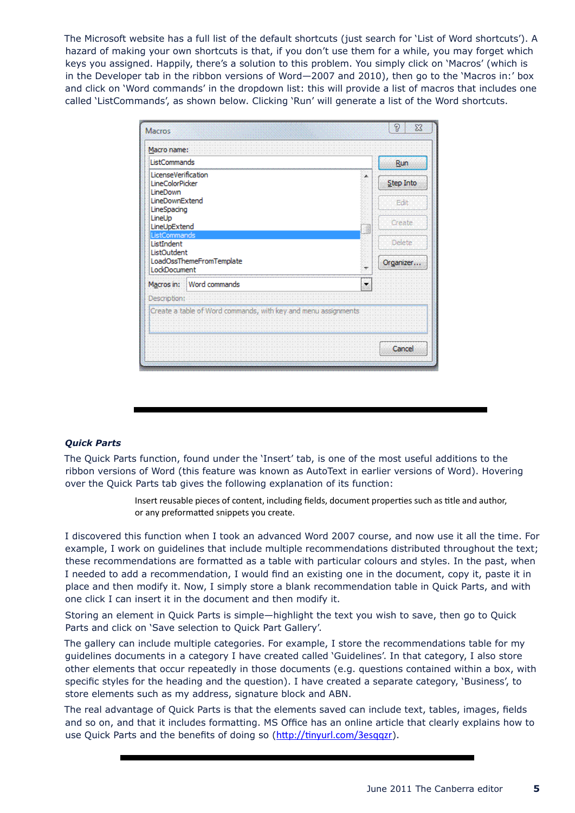The Microsoft website has a full list of the default shortcuts (just search for 'List of Word shortcuts'). A hazard of making your own shortcuts is that, if you don't use them for a while, you may forget which keys you assigned. Happily, there's a solution to this problem. You simply click on 'Macros' (which is in the Developer tab in the ribbon versions of Word—2007 and 2010), then go to the 'Macros in:' box and click on 'Word commands' in the dropdown list: this will provide a list of macros that includes one called 'ListCommands', as shown below. Clicking 'Run' will generate a list of the Word shortcuts.

| Macros                                                         | 9<br>$\Sigma$  |
|----------------------------------------------------------------|----------------|
| Macro name:                                                    |                |
| ListCommands                                                   | Run            |
| LicenseVerification<br>LineColorPicker<br>LineDown             | Step Into      |
| LineDownExtend<br>LineSpacing                                  | Edit           |
| LineUp<br>LineUpExtend<br>ListCommands                         | Create         |
| ListIndent<br>ListOutdent                                      | <b>Delete</b>  |
| LoadOssThemeFromTemplate<br>LockDocument                       | Organizer<br>٠ |
| Word commands<br>Macros in:                                    |                |
| Description:                                                   |                |
| Create a table of Word commands, with key and menu assignments |                |
|                                                                | Cancel         |

# *Quick Parts*

The Quick Parts function, found under the 'Insert' tab, is one of the most useful additions to the ribbon versions of Word (this feature was known as AutoText in earlier versions of Word). Hovering over the Quick Parts tab gives the following explanation of its function:

> Insert reusable pieces of content, including fields, document properties such as title and author, or any preformatted snippets you create.

I discovered this function when I took an advanced Word 2007 course, and now use it all the time. For example, I work on guidelines that include multiple recommendations distributed throughout the text; these recommendations are formatted as a table with particular colours and styles. In the past, when I needed to add a recommendation, I would find an existing one in the document, copy it, paste it in place and then modify it. Now, I simply store a blank recommendation table in Quick Parts, and with one click I can insert it in the document and then modify it.

Storing an element in Quick Parts is simple—highlight the text you wish to save, then go to Quick Parts and click on 'Save selection to Quick Part Gallery'.

The gallery can include multiple categories. For example, I store the recommendations table for my guidelines documents in a category I have created called 'Guidelines'. In that category, I also store other elements that occur repeatedly in those documents (e.g. questions contained within a box, with specific styles for the heading and the question). I have created a separate category, 'Business', to store elements such as my address, signature block and ABN.

The real advantage of Quick Parts is that the elements saved can include text, tables, images, fields and so on, and that it includes formatting. MS Office has an online article that clearly explains how to use Quick Parts and the benefits of doing so (http://tinyurl.com/3esqqzr).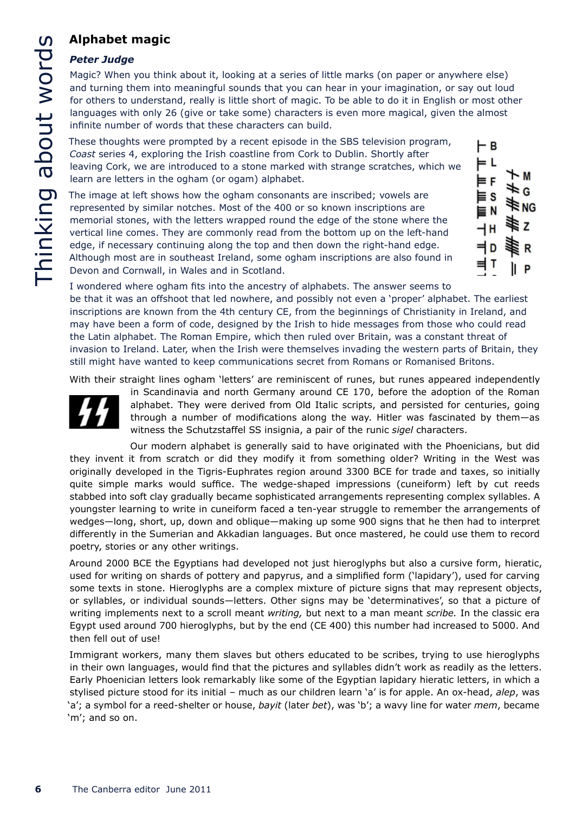# **Alphabet magic**

# *Peter Judge*

Magic? When you think about it, looking at a series of little marks (on paper or anywhere else) and turning them into meaningful sounds that you can hear in your imagination, or say out loud for others to understand, really is little short of magic. To be able to do it in English or most other languages with only 26 (give or take some) characters is even more magical, given the almost infinite number of words that these characters can build.

These thoughts were prompted by a recent episode in the SBS television program, *Coast* series 4, exploring the Irish coastline from Cork to Dublin. Shortly after leaving Cork, we are introduced to a stone marked with strange scratches, which we learn are letters in the ogham (or ogam) alphabet.

The image at left shows how the ogham consonants are inscribed; vowels are represented by similar notches. Most of the 400 or so known inscriptions are memorial stones, with the letters wrapped round the edge of the stone where the vertical line comes. They are commonly read from the bottom up on the left-hand edge, if necessary continuing along the top and then down the right-hand edge. Although most are in southeast Ireland, some ogham inscriptions are also found in Devon and Cornwall, in Wales and in Scotland.



I wondered where ogham fits into the ancestry of alphabets. The answer seems to be that it was an offshoot that led nowhere, and possibly not even a 'proper' alphabet. The earliest inscriptions are known from the 4th century CE, from the beginnings of Christianity in Ireland, and may have been a form of code, designed by the Irish to hide messages from those who could read the Latin alphabet. The Roman Empire, which then ruled over Britain, was a constant threat of invasion to Ireland. Later, when the Irish were themselves invading the western parts of Britain, they still might have wanted to keep communications secret from Romans or Romanised Britons.

With their straight lines ogham 'letters' are reminiscent of runes, but runes appeared independently



in Scandinavia and north Germany around CE 170, before the adoption of the Roman alphabet. They were derived from Old Italic scripts, and persisted for centuries, going through a number of modifications along the way. Hitler was fascinated by them—as witness the Schutzstaffel SS insignia, a pair of the runic *sigel* characters.

Our modern alphabet is generally said to have originated with the Phoenicians, but did they invent it from scratch or did they modify it from something older? Writing in the West was originally developed in the Tigris-Euphrates region around 3300 BCE for trade and taxes, so initially quite simple marks would suffice. The wedge-shaped impressions (cuneiform) left by cut reeds stabbed into soft clay gradually became sophisticated arrangements representing complex syllables. A youngster learning to write in cuneiform faced a ten-year struggle to remember the arrangements of wedges—long, short, up, down and oblique—making up some 900 signs that he then had to interpret differently in the Sumerian and Akkadian languages. But once mastered, he could use them to record poetry, stories or any other writings.

Around 2000 BCE the Egyptians had developed not just hieroglyphs but also a cursive form, hieratic, used for writing on shards of pottery and papyrus, and a simplified form ('lapidary'), used for carving some texts in stone. Hieroglyphs are a complex mixture of picture signs that may represent objects, or syllables, or individual sounds—letters. Other signs may be 'determinatives', so that a picture of writing implements next to a scroll meant *writing,* but next to a man meant *scribe.* In the classic era Egypt used around 700 hieroglyphs, but by the end (CE 400) this number had increased to 5000. And then fell out of use!

Immigrant workers, many them slaves but others educated to be scribes, trying to use hieroglyphs in their own languages, would find that the pictures and syllables didn't work as readily as the letters. Early Phoenician letters look remarkably like some of the Egyptian lapidary hieratic letters, in which a stylised picture stood for its initial – much as our children learn 'a' is for apple. An ox-head, *alep*, was 'a'; a symbol for a reed-shelter or house, *bayit* (later *bet*), was 'b'; a wavy line for water *mem*, became 'm'; and so on.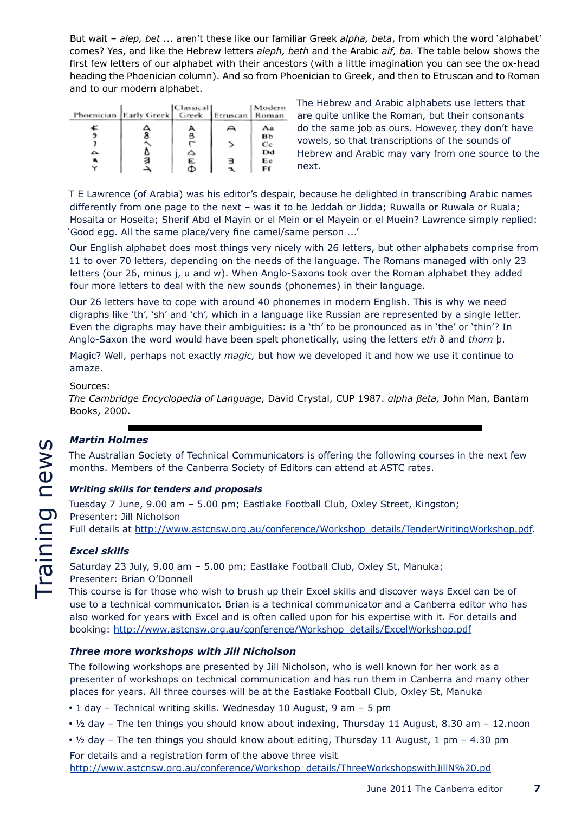But wait – *alep, bet* ... aren't these like our familiar Greek *alpha, beta*, from which the word 'alphabet' comes? Yes, and like the Hebrew letters *aleph, beth* and the Arabic *aif, ba.* The table below shows the first few letters of our alphabet with their ancestors (with a little imagination you can see the ox-head heading the Phoenician column). And so from Phoenician to Greek, and then to Etruscan and to Roman and to our modern alphabet.

| Phoenician Early Greek | Classical<br>Greek | Etruscan | Modern<br>Roman |
|------------------------|--------------------|----------|-----------------|
|                        |                    |          | Aa              |
|                        | B                  |          | вь              |
|                        |                    |          | Сc              |
|                        | △                  |          | Dd              |
|                        | Ε                  |          | Еe              |
|                        |                    |          | Fſ              |

The Hebrew and Arabic alphabets use letters that are quite unlike the Roman, but their consonants do the same job as ours. However, they don't have vowels, so that transcriptions of the sounds of Hebrew and Arabic may vary from one source to the next.

T E Lawrence (of Arabia) was his editor's despair, because he delighted in transcribing Arabic names differently from one page to the next – was it to be Jeddah or Jidda; Ruwalla or Ruwala or Ruala; Hosaita or Hoseita; Sherif Abd el Mayin or el Mein or el Mayein or el Muein? Lawrence simply replied: 'Good egg. All the same place/very fine camel/same person ...'

Our English alphabet does most things very nicely with 26 letters, but other alphabets comprise from 11 to over 70 letters, depending on the needs of the language. The Romans managed with only 23 letters (our 26, minus j, u and w). When Anglo-Saxons took over the Roman alphabet they added four more letters to deal with the new sounds (phonemes) in their language.

Our 26 letters have to cope with around 40 phonemes in modern English. This is why we need digraphs like 'th', 'sh' and 'ch', which in a language like Russian are represented by a single letter. Even the digraphs may have their ambiguities: is a 'th' to be pronounced as in 'the' or 'thin'? In Anglo-Saxon the word would have been spelt phonetically, using the letters *eth* ð and *thorn* þ.

Magic? Well, perhaps not exactly *magic,* but how we developed it and how we use it continue to amaze.

# Sources:

*The Cambridge Encyclopedia of Language*, David Crystal, CUP 1987. *αlpha βeta,* John Man, Bantam Books, 2000.

# *Martin Holmes*

The Australian Society of Technical Communicators is offering the following courses in the next few months. Members of the Canberra Society of Editors can attend at ASTC rates.

# *Writing skills for tenders and proposals*

Tuesday 7 June, 9.00 am – 5.00 pm; Eastlake Football Club, Oxley Street, Kingston; Presenter: Jill Nicholson

# Full details at http://www.astcnsw.org.au/conference/Workshop\_details/TenderWritingWorkshop.pdf.

# *Excel skills*

Saturday 23 July, 9.00 am – 5.00 pm; Eastlake Football Club, Oxley St, Manuka; Presenter: Brian O'Donnell

This course is for those who wish to brush up their Excel skills and discover ways Excel can be of use to a technical communicator. Brian is a technical communicator and a Canberra editor who has also worked for years with Excel and is often called upon for his expertise with it. For details and booking: http://www.astcnsw.org.au/conference/Workshop\_details/ExcelWorkshop.pdf

# *Three more workshops with Jill Nicholson*

The following workshops are presented by Jill Nicholson, who is well known for her work as a presenter of workshops on technical communication and has run them in Canberra and many other places for years. All three courses will be at the Eastlake Football Club, Oxley St, Manuka

- 1 day Technical writing skills. Wednesday 10 August, 9 am 5 pm
- $\cdot$  1/2 day The ten things you should know about indexing, Thursday 11 August, 8.30 am 12.noon
- $\cdot$  1/2 day The ten things you should know about editing, Thursday 11 August, 1 pm 4.30 pm

For details and a registration form of the above three visit http://www.astcnsw.org.au/conference/Workshop\_details/ThreeWorkshopswithJillN%20.pd

June 2011 The Canberra editor **7**